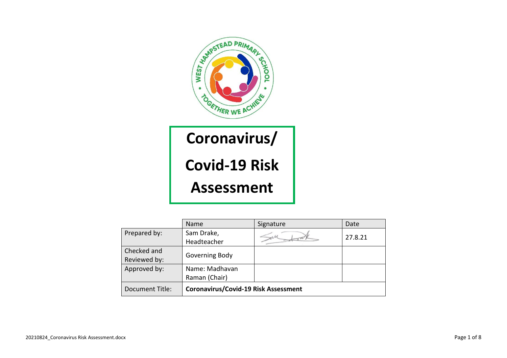

## **Coronavirus/ Covid-19 Risk Assessment**

|                 | <b>Name</b>                          | Signature | Date    |
|-----------------|--------------------------------------|-----------|---------|
| Prepared by:    | Sam Drake,                           |           | 27.8.21 |
|                 | Headteacher                          |           |         |
| Checked and     |                                      |           |         |
| Reviewed by:    | Governing Body                       |           |         |
| Approved by:    | Name: Madhavan                       |           |         |
|                 | Raman (Chair)                        |           |         |
| Document Title: | Coronavirus/Covid-19 Risk Assessment |           |         |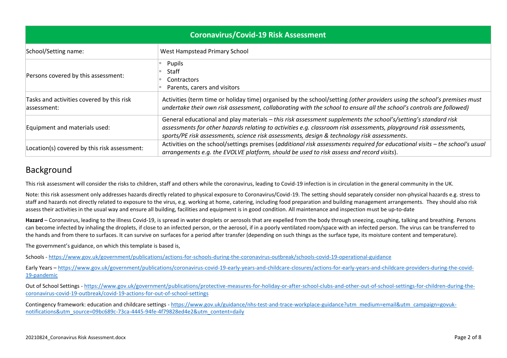| <b>Coronavirus/Covid-19 Risk Assessment</b>               |                                                                                                                                                                                                                                                                                                                                     |  |  |  |  |
|-----------------------------------------------------------|-------------------------------------------------------------------------------------------------------------------------------------------------------------------------------------------------------------------------------------------------------------------------------------------------------------------------------------|--|--|--|--|
| School/Setting name:                                      | West Hampstead Primary School                                                                                                                                                                                                                                                                                                       |  |  |  |  |
| Persons covered by this assessment:                       | Pupils<br>Staff<br><b>Contractors</b><br>Parents, carers and visitors                                                                                                                                                                                                                                                               |  |  |  |  |
| Tasks and activities covered by this risk<br>lassessment: | Activities (term time or holiday time) organised by the school/setting (other providers using the school's premises must<br>undertake their own risk assessment, collaborating with the school to ensure all the school's controls are followed)                                                                                    |  |  |  |  |
| Equipment and materials used:                             | General educational and play materials - this risk assessment supplements the school's/setting's standard risk<br>assessments for other hazards relating to activities e.g. classroom risk assessments, playground risk assessments,<br>sports/PE risk assessments, science risk assessments, design & technology risk assessments. |  |  |  |  |
| Location(s) covered by this risk assessment:              | Activities on the school/settings premises (additional risk assessments required for educational visits - the school's usual<br>arrangements e.g. the EVOLVE platform, should be used to risk assess and record visits).                                                                                                            |  |  |  |  |

## Background

This risk assessment will consider the risks to children, staff and others while the coronavirus, leading to Covid-19 infection is in circulation in the general community in the UK.

Note: this risk assessment only addresses hazards directly related to physical exposure to Coronavirus/Covid-19. The setting should separately consider non-physical hazards e.g. stress to staff and hazards not directly related to exposure to the virus, e.g. working at home, catering, including food preparation and building management arrangements. They should also risk assess their activities in the usual way and ensure all building, facilities and equipment is in good condition. All maintenance and inspection must be up-to-date

Hazard – Coronavirus, leading to the illness Covid-19, is spread in water droplets or aerosols that are expelled from the body through sneezing, coughing, talking and breathing. Persons can become infected by inhaling the droplets, if close to an infected person, or the aerosol, if in a poorly ventilated room/space with an infected person. The virus can be transferred to the hands and from there to surfaces. It can survive on surfaces for a period after transfer (depending on such things as the surface type, its moisture content and temperature).

The government's guidance, on which this template is based is,

Schools - <https://www.gov.uk/government/publications/actions-for-schools-during-the-coronavirus-outbreak/schools-covid-19-operational-guidance>

Early Years – [https://www.gov.uk/government/publications/coronavirus-covid-19-early-years-and-childcare-closures/actions-for-early-years-and-childcare-providers-during-the-covid-](https://www.gov.uk/government/publications/coronavirus-covid-19-early-years-and-childcare-closures/actions-for-early-years-and-childcare-providers-during-the-covid-19-pandemic)[19-pandemic](https://www.gov.uk/government/publications/coronavirus-covid-19-early-years-and-childcare-closures/actions-for-early-years-and-childcare-providers-during-the-covid-19-pandemic)

Out of School Settings - [https://www.gov.uk/government/publications/protective-measures-for-holiday-or-after-school-clubs-and-other-out-of-school-settings-for-children-during-the](https://www.gov.uk/government/publications/protective-measures-for-holiday-or-after-school-clubs-and-other-out-of-school-settings-for-children-during-the-coronavirus-covid-19-outbreak/covid-19-actions-for-out-of-school-settings)[coronavirus-covid-19-outbreak/covid-19-actions-for-out-of-school-settings](https://www.gov.uk/government/publications/protective-measures-for-holiday-or-after-school-clubs-and-other-out-of-school-settings-for-children-during-the-coronavirus-covid-19-outbreak/covid-19-actions-for-out-of-school-settings)

Contingency framework: education and childcare settings - [https://www.gov.uk/guidance/nhs-test-and-trace-workplace-guidance?utm\\_medium=email&utm\\_campaign=govuk](https://www.gov.uk/guidance/nhs-test-and-trace-workplace-guidance?utm_medium=email&utm_campaign=govuk-notifications&utm_source=09bc689c-73ca-4445-94fe-4f79828ed4e2&utm_content=daily)[notifications&utm\\_source=09bc689c-73ca-4445-94fe-4f79828ed4e2&utm\\_content=daily](https://www.gov.uk/guidance/nhs-test-and-trace-workplace-guidance?utm_medium=email&utm_campaign=govuk-notifications&utm_source=09bc689c-73ca-4445-94fe-4f79828ed4e2&utm_content=daily)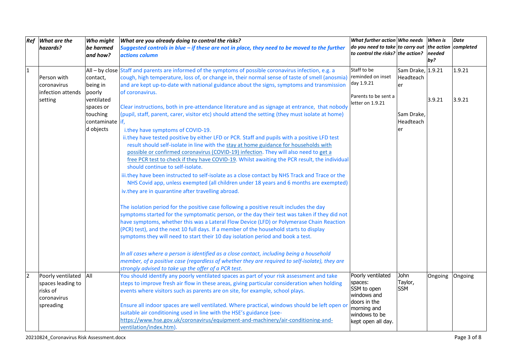| Ref            | What are the       | Who might       | What are you already doing to control the risks?                                                        | What further action Who needs                                 |                   | <b>When is</b> | <b>Date</b> |
|----------------|--------------------|-----------------|---------------------------------------------------------------------------------------------------------|---------------------------------------------------------------|-------------------|----------------|-------------|
|                | hazards?           | be harmed       | Suggested controls in blue $-i$ f these are not in place, they need to be moved to the further          | $\vert$ do you need to take to carry out the action completed |                   |                |             |
|                |                    | and how?        | actions column                                                                                          | to control the risks? the action?                             |                   | needed         |             |
|                |                    |                 |                                                                                                         |                                                               |                   | by?            |             |
| $\overline{1}$ |                    |                 | All - by close Staff and parents are informed of the symptoms of possible coronavirus infection, e.g. a | Staff to be                                                   | Sam Drake, 1.9.21 |                | 1.9.21      |
|                | Person with        | contact,        | cough, high temperature, loss of, or change in, their normal sense of taste of smell (anosmia)          | reminded on inset                                             | Headteach         |                |             |
|                | coronavirus        | being in        | and are kept up-to-date with national guidance about the signs, symptoms and transmission               | day 1.9.21                                                    | er                |                |             |
|                | linfection attends | poorly          | of coronavirus.                                                                                         |                                                               |                   |                |             |
|                | setting            | ventilated      |                                                                                                         | Parents to be sent a                                          |                   | 3.9.21         | 3.9.21      |
|                |                    | spaces or       | Clear instructions, both in pre-attendance literature and as signage at entrance, that nobody           | letter on 1.9.21                                              |                   |                |             |
|                |                    | touching        | (pupil, staff, parent, carer, visitor etc) should attend the setting (they must isolate at home)        |                                                               | Sam Drake,        |                |             |
|                |                    | contaminate if, |                                                                                                         |                                                               | Headteach         |                |             |
|                |                    | d objects       | i.they have symptoms of COVID-19.                                                                       |                                                               | er                |                |             |
|                |                    |                 | ii.they have tested positive by either LFD or PCR. Staff and pupils with a positive LFD test            |                                                               |                   |                |             |
|                |                    |                 | result should self-isolate in line with the stay at home guidance for households with                   |                                                               |                   |                |             |
|                |                    |                 | possible or confirmed coronavirus (COVID-19) infection. They will also need to get a                    |                                                               |                   |                |             |
|                |                    |                 | free PCR test to check if they have COVID-19. Whilst awaiting the PCR result, the individual            |                                                               |                   |                |             |
|                |                    |                 | should continue to self-isolate.                                                                        |                                                               |                   |                |             |
|                |                    |                 | iii.they have been instructed to self-isolate as a close contact by NHS Track and Trace or the          |                                                               |                   |                |             |
|                |                    |                 | NHS Covid app, unless exempted (all children under 18 years and 6 months are exempted)                  |                                                               |                   |                |             |
|                |                    |                 |                                                                                                         |                                                               |                   |                |             |
|                |                    |                 | iv.they are in quarantine after travelling abroad.                                                      |                                                               |                   |                |             |
|                |                    |                 | The isolation period for the positive case following a positive result includes the day                 |                                                               |                   |                |             |
|                |                    |                 | symptoms started for the symptomatic person, or the day their test was taken if they did not            |                                                               |                   |                |             |
|                |                    |                 | have symptoms, whether this was a Lateral Flow Device (LFD) or Polymerase Chain Reaction                |                                                               |                   |                |             |
|                |                    |                 | (PCR) test), and the next 10 full days. If a member of the household starts to display                  |                                                               |                   |                |             |
|                |                    |                 | symptoms they will need to start their 10 day isolation period and book a test.                         |                                                               |                   |                |             |
|                |                    |                 |                                                                                                         |                                                               |                   |                |             |
|                |                    |                 | In all cases where a person is identified as a close contact, including being a household               |                                                               |                   |                |             |
|                |                    |                 | member, of a positive case (regardless of whether they are required to self-isolate), they are          |                                                               |                   |                |             |
|                |                    |                 | strongly advised to take up the offer of a PCR test.                                                    |                                                               |                   |                |             |
| 2              | Poorly ventilated  | All             | You should identify any poorly ventilated spaces as part of your risk assessment and take               | Poorly ventilated                                             | John              | Ongoing        | Ongoing     |
|                | spaces leading to  |                 | steps to improve fresh air flow in these areas, giving particular consideration when holding            | spaces:                                                       | Taylor,           |                |             |
|                | risks of           |                 | events where visitors such as parents are on site, for example, school plays.                           | SSM to open                                                   | <b>SSM</b>        |                |             |
|                | coronavirus        |                 |                                                                                                         | windows and                                                   |                   |                |             |
|                | spreading          |                 | Ensure all indoor spaces are well ventilated. Where practical, windows should be left open or           | doors in the                                                  |                   |                |             |
|                |                    |                 | suitable air conditioning used in line with the HSE's guidance (see-                                    | morning and                                                   |                   |                |             |
|                |                    |                 | https://www.hse.gov.uk/coronavirus/equipment-and-machinery/air-conditioning-and-                        | windows to be                                                 |                   |                |             |
|                |                    |                 | ventilation/index.htm).                                                                                 | kept open all day.                                            |                   |                |             |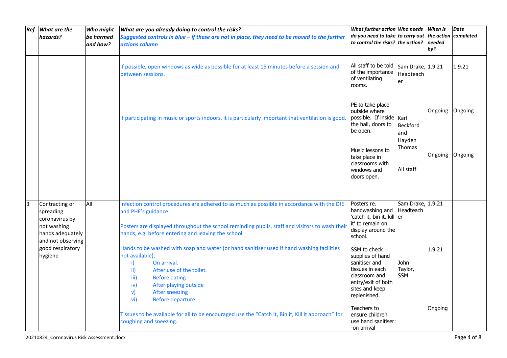| Ref | What are the<br>hazards?                                                                                                             | Who might<br>be harmed<br>and how? | What are you already doing to control the risks?<br>Suggested controls in blue - if these are not in place, they need to be moved to the further<br>actions column                                                                                                                                                                                                                                                                                                                                                                                                                                      | What further action Who needs<br>do you need to take to carry out<br>to control the risks? the action?                                                                                                                                                             |                                                                 | <b>When is</b><br>the action completed<br>needed<br>by? | <b>Date</b> |
|-----|--------------------------------------------------------------------------------------------------------------------------------------|------------------------------------|---------------------------------------------------------------------------------------------------------------------------------------------------------------------------------------------------------------------------------------------------------------------------------------------------------------------------------------------------------------------------------------------------------------------------------------------------------------------------------------------------------------------------------------------------------------------------------------------------------|--------------------------------------------------------------------------------------------------------------------------------------------------------------------------------------------------------------------------------------------------------------------|-----------------------------------------------------------------|---------------------------------------------------------|-------------|
|     |                                                                                                                                      |                                    | If possible, open windows as wide as possible for at least 15 minutes before a session and<br>between sessions.                                                                                                                                                                                                                                                                                                                                                                                                                                                                                         | All staff to be told<br>of the importance<br>of ventilating<br>rooms.                                                                                                                                                                                              | Sam Drake, 1.9.21<br>Headteach<br>er                            |                                                         | 1.9.21      |
|     |                                                                                                                                      |                                    | If participating in music or sports indoors, it is particularly important that ventilation is good.                                                                                                                                                                                                                                                                                                                                                                                                                                                                                                     | PE to take place<br>outside where<br>possible. If inside Karl<br>the hall, doors to<br>be open.<br>Music lessons to<br>take place in<br>classrooms with<br>windows and<br>doors open.                                                                              | <b>Beckford</b><br>and<br>Hayden<br>Thomas<br>All staff         | Ongoing<br>Ongoing Ongoing                              | Ongoing     |
| lз  | Contracting or<br>spreading<br>coronavirus by<br>not washing<br>hands adequately<br>and not observing<br>good respiratory<br>hygiene | All                                | Infection control procedures are adhered to as much as possible in accordance with the DfE<br>and PHE's guidance.<br>Posters are displayed throughout the school reminding pupils, staff and visitors to wash their<br>hands, e.g. before entering and leaving the school.<br>Hands to be washed with soap and water (or hand sanitiser used if hand washing facilities<br>not available),<br>i)<br>On arrival.<br>$\mathbf{ii}$<br>After use of the toilet.<br><b>Before eating</b><br>iii)<br>After playing outside<br>iv)<br>$\mathsf{v}$<br><b>After sneezing</b><br><b>Before departure</b><br>vi) | Posters re.<br>handwashing and<br>'catch it, bin it, kill er<br>it' to remain on<br>display around the<br>school.<br>SSM to check<br>supplies of hand<br>sanitiser and<br>tissues in each<br>classroom and<br>entry/exit of both<br>sites and keep<br>replenished. | Sam Drake, 1.9.21<br>Headteach<br>John<br>Taylor,<br><b>SSM</b> | 1.9.21                                                  |             |
|     |                                                                                                                                      |                                    | Tissues to be available for all to be encouraged use the "Catch it, Bin it, Kill it approach" for<br>coughing and sneezing.                                                                                                                                                                                                                                                                                                                                                                                                                                                                             | Teachers to<br>lensure children<br>use hand sanitiser:<br>-on arrival                                                                                                                                                                                              |                                                                 | Ongoing                                                 |             |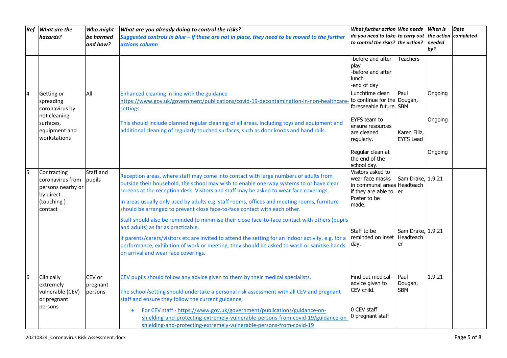| Ref | What are the<br>hazards?                                                                   | Who might<br>be harmed<br>and how? | What are you already doing to control the risks?<br>Suggested controls in blue $-i$ f these are not in place, they need to be moved to the further<br>actions column                                                                                                                                                                                                                                                                                  | What further action Who needs<br>$\vert$ do you need to take to carry out $\vert$ the action $\vert$ completed<br>to control the risks? the action? |                                      | When is<br>needed<br>by? | <b>Date</b> |
|-----|--------------------------------------------------------------------------------------------|------------------------------------|-------------------------------------------------------------------------------------------------------------------------------------------------------------------------------------------------------------------------------------------------------------------------------------------------------------------------------------------------------------------------------------------------------------------------------------------------------|-----------------------------------------------------------------------------------------------------------------------------------------------------|--------------------------------------|--------------------------|-------------|
|     |                                                                                            |                                    |                                                                                                                                                                                                                                                                                                                                                                                                                                                       | -before and after<br>play<br>-before and after<br><b>lunch</b><br>-end of day                                                                       | <b>Teachers</b>                      |                          |             |
|     | Getting or<br>spreading<br>coronavirus by<br>not cleaning                                  | All                                | Enhanced cleaning in line with the guidance<br>https://www.gov.uk/government/publications/covid-19-decontamination-in-non-healthcare-<br><b>settings</b>                                                                                                                                                                                                                                                                                              | Lunchtime clean<br>to continue for the Dougan,<br>foreseeable future. SBM                                                                           | Paul                                 | Ongoing                  |             |
|     | surfaces,<br>equipment and<br>workstations                                                 |                                    | This should include planned regular cleaning of all areas, including toys and equipment and<br>additional cleaning of regularly touched surfaces, such as door knobs and hand rails.                                                                                                                                                                                                                                                                  | EYFS team to<br>ensure resources<br>are cleaned<br>regularly.                                                                                       | Karen Filiz,<br><b>EYFS Lead</b>     | Ongoing                  |             |
|     |                                                                                            |                                    |                                                                                                                                                                                                                                                                                                                                                                                                                                                       | Regular clean at<br>the end of the<br>school day.                                                                                                   |                                      | Ongoing                  |             |
| l5  | Contracting<br>coronavirus from<br>persons nearby or<br>by direct<br>(touching)<br>contact | Staff and<br>pupils                | Reception areas, where staff may come into contact with large numbers of adults from<br>outside their household, the school may wish to enable one-way systems to or have clear<br>screens at the reception desk. Visitors and staff may be asked to wear face coverings.<br>In areas usually only used by adults e.g. staff rooms, offices and meeting rooms, furniture<br>should be arranged to prevent close face-to-face contact with each other. | Visitors asked to<br>wear face masks<br>in communal areas Headteach<br>if they are able to. $ er $<br>Poster to be<br>made.                         | Sam Drake, 1.9.21                    |                          |             |
|     |                                                                                            |                                    | Staff should also be reminded to minimise their close face-to-face contact with others (pupils<br>and adults) as far as practicable.<br>If parents/carers/visitors etc are invited to attend the setting for an indoor activity, e.g. for a<br>performance, exhibition of work or meeting, they should be asked to wash or sanitise hands<br>on arrival and wear face coverings.                                                                      | Staff to be<br>reminded on inset<br>day.                                                                                                            | Sam Drake, 1.9.21<br>Headteach<br>er |                          |             |
| l6  | Clinically<br>extremely<br>vulnerable (CEV)<br>or pregnant                                 | CEV or<br>pregnant<br>persons      | CEV pupils should follow any advice given to them by their medical specialists.<br>The school/setting should undertake a personal risk assessment with all CEV and pregnant<br>staff and ensure they follow the current guidance,                                                                                                                                                                                                                     | Find out medical<br>advice given to<br>CEV child.                                                                                                   | Paul<br>Dougan,<br><b>SBM</b>        | 1.9.21                   |             |
|     | persons                                                                                    |                                    | For CEV staff - https://www.gov.uk/government/publications/guidance-on-<br>shielding-and-protecting-extremely-vulnerable-persons-from-covid-19/guidance-on<br>shielding-and-protecting-extremely-vulnerable-persons-from-covid-19                                                                                                                                                                                                                     | 0 CEV staff<br>0 pregnant staff                                                                                                                     |                                      |                          |             |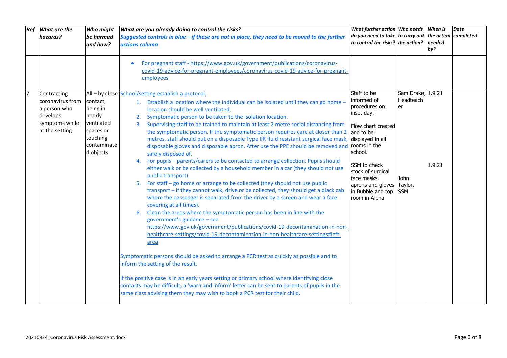| Ref | What are the<br>hazards?                                                                        | Who might<br>be harmed<br>and how?                                                                | What are you already doing to control the risks?<br>Suggested controls in blue $-i$ f these are not in place, they need to be moved to the further<br>actions column                                                                                                                                                                                                                                                                                                                                                                                                                                                                                                                                                                                                                                                                                                                                                                                                                                                                                                                                                                                                                                                                                                                                                                                                                                                                                                                                                                                                                                                                                                                                                                                                                                                               | What further action Who needs<br>$\vert$ do you need to take to carry out the action completed<br>to control the risks? the action? $ needed$                                                                                                                          |                                              | <b>When</b> is<br>by? | <b>Date</b> |
|-----|-------------------------------------------------------------------------------------------------|---------------------------------------------------------------------------------------------------|------------------------------------------------------------------------------------------------------------------------------------------------------------------------------------------------------------------------------------------------------------------------------------------------------------------------------------------------------------------------------------------------------------------------------------------------------------------------------------------------------------------------------------------------------------------------------------------------------------------------------------------------------------------------------------------------------------------------------------------------------------------------------------------------------------------------------------------------------------------------------------------------------------------------------------------------------------------------------------------------------------------------------------------------------------------------------------------------------------------------------------------------------------------------------------------------------------------------------------------------------------------------------------------------------------------------------------------------------------------------------------------------------------------------------------------------------------------------------------------------------------------------------------------------------------------------------------------------------------------------------------------------------------------------------------------------------------------------------------------------------------------------------------------------------------------------------------|------------------------------------------------------------------------------------------------------------------------------------------------------------------------------------------------------------------------------------------------------------------------|----------------------------------------------|-----------------------|-------------|
|     |                                                                                                 |                                                                                                   | For pregnant staff - https://www.gov.uk/government/publications/coronavirus-<br>$\bullet$<br>covid-19-advice-for-pregnant-employees/coronavirus-covid-19-advice-for-pregnant-<br>employees                                                                                                                                                                                                                                                                                                                                                                                                                                                                                                                                                                                                                                                                                                                                                                                                                                                                                                                                                                                                                                                                                                                                                                                                                                                                                                                                                                                                                                                                                                                                                                                                                                         |                                                                                                                                                                                                                                                                        |                                              |                       |             |
|     | Contracting<br>coronavirus from<br>a person who<br>develops<br>symptoms while<br>at the setting | contact,<br>being in<br>poorly<br>ventilated<br>spaces or<br>touching<br>contaminate<br>d objects | All - by close School/setting establish a protocol,<br>1. Establish a location where the individual can be isolated until they can go home -<br>location should be well ventilated.<br>Symptomatic person to be taken to the isolation location.<br>2.<br>Supervising staff to be trained to maintain at least 2 metre social distancing from<br>3.<br>the symptomatic person. If the symptomatic person requires care at closer than 2<br>metres, staff should put on a disposable Type IIR fluid resistant surgical face mask,<br>disposable gloves and disposable apron. After use the PPE should be removed and<br>safely disposed of.<br>4. For pupils – parents/carers to be contacted to arrange collection. Pupils should<br>either walk or be collected by a household member in a car (they should not use<br>public transport).<br>5. For staff - go home or arrange to be collected (they should not use public<br>transport - if they cannot walk, drive or be collected, they should get a black cab<br>where the passenger is separated from the driver by a screen and wear a face<br>covering at all times).<br>Clean the areas where the symptomatic person has been in line with the<br>6.<br>government's guidance - see<br>https://www.gov.uk/government/publications/covid-19-decontamination-in-non-<br>healthcare-settings/covid-19-decontamination-in-non-healthcare-settings#left-<br>area<br>Symptomatic persons should be asked to arrange a PCR test as quickly as possible and to<br>inform the setting of the result.<br>If the positive case is in an early years setting or primary school where identifying close<br>contacts may be difficult, a 'warn and inform' letter can be sent to parents of pupils in the<br>same class advising them they may wish to book a PCR test for their child. | Staff to be<br>informed of<br>procedures on<br>inset day.<br>Flow chart created<br>and to be<br>displayed in all<br>rooms in the<br>school.<br>SSM to check<br>stock of surgical<br>face masks,<br>aprons and gloves Taylor,<br>in Bubble and top SSM<br>room in Alpha | Sam Drake, 1.9.21<br>Headteach<br>er<br>John | 1.9.21                |             |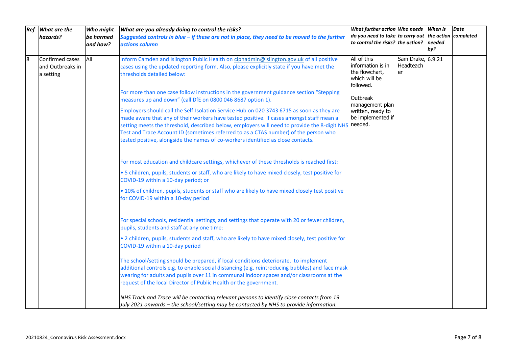| Ref | What are the     | Who might | What are you already doing to control the risks?                                                                                               | What further action Who needs When is                 |                   |        | <b>Date</b> |
|-----|------------------|-----------|------------------------------------------------------------------------------------------------------------------------------------------------|-------------------------------------------------------|-------------------|--------|-------------|
|     | hazards?         | be harmed | Suggested controls in blue $-i$ f these are not in place, they need to be moved to the further                                                 | do you need to take to carry out the action completed |                   |        |             |
|     |                  | and how?  | actions column                                                                                                                                 | to control the risks? the action?                     |                   | needed |             |
|     |                  |           |                                                                                                                                                |                                                       |                   | by?    |             |
| 8   | Confirmed cases  | All       | Inform Camden and Islington Public Health on ciphadmin@islington.gov.uk of all positive                                                        | All of this                                           | Sam Drake, 6.9.21 |        |             |
|     | and Outbreaks in |           | cases using the updated reporting form. Also, please explicitly state if you have met the                                                      | information is in                                     | Headteach         |        |             |
|     | a setting        |           | thresholds detailed below:                                                                                                                     | the flowchart,<br>which will be                       | er                |        |             |
|     |                  |           |                                                                                                                                                | followed.                                             |                   |        |             |
|     |                  |           | For more than one case follow instructions in the government guidance section "Stepping                                                        |                                                       |                   |        |             |
|     |                  |           | measures up and down" (call DfE on 0800 046 8687 option 1).                                                                                    | Outbreak                                              |                   |        |             |
|     |                  |           |                                                                                                                                                | management plan                                       |                   |        |             |
|     |                  |           | Employers should call the Self-Isolation Service Hub on 020 3743 6715 as soon as they are                                                      | written, ready to                                     |                   |        |             |
|     |                  |           | made aware that any of their workers have tested positive. If cases amongst staff mean a                                                       | be implemented if<br>needed.                          |                   |        |             |
|     |                  |           | setting meets the threshold, described below, employers will need to provide the 8-digit NHS                                                   |                                                       |                   |        |             |
|     |                  |           | Test and Trace Account ID (sometimes referred to as a CTAS number) of the person who                                                           |                                                       |                   |        |             |
|     |                  |           | tested positive, alongside the names of co-workers identified as close contacts.                                                               |                                                       |                   |        |             |
|     |                  |           |                                                                                                                                                |                                                       |                   |        |             |
|     |                  |           | For most education and childcare settings, whichever of these thresholds is reached first:                                                     |                                                       |                   |        |             |
|     |                  |           | . 5 children, pupils, students or staff, who are likely to have mixed closely, test positive for                                               |                                                       |                   |        |             |
|     |                  |           | COVID-19 within a 10-day period; or                                                                                                            |                                                       |                   |        |             |
|     |                  |           | . 10% of children, pupils, students or staff who are likely to have mixed closely test positive                                                |                                                       |                   |        |             |
|     |                  |           | for COVID-19 within a 10-day period                                                                                                            |                                                       |                   |        |             |
|     |                  |           |                                                                                                                                                |                                                       |                   |        |             |
|     |                  |           |                                                                                                                                                |                                                       |                   |        |             |
|     |                  |           | For special schools, residential settings, and settings that operate with 20 or fewer children,<br>pupils, students and staff at any one time: |                                                       |                   |        |             |
|     |                  |           |                                                                                                                                                |                                                       |                   |        |             |
|     |                  |           | . 2 children, pupils, students and staff, who are likely to have mixed closely, test positive for                                              |                                                       |                   |        |             |
|     |                  |           | COVID-19 within a 10-day period                                                                                                                |                                                       |                   |        |             |
|     |                  |           | The school/setting should be prepared, if local conditions deteriorate, to implement                                                           |                                                       |                   |        |             |
|     |                  |           | additional controls e.g. to enable social distancing (e.g. reintroducing bubbles) and face mask                                                |                                                       |                   |        |             |
|     |                  |           | wearing for adults and pupils over 11 in communal indoor spaces and/or classrooms at the                                                       |                                                       |                   |        |             |
|     |                  |           | request of the local Director of Public Health or the government.                                                                              |                                                       |                   |        |             |
|     |                  |           |                                                                                                                                                |                                                       |                   |        |             |
|     |                  |           | NHS Track and Trace will be contacting relevant persons to identify close contacts from 19                                                     |                                                       |                   |        |             |
|     |                  |           | July 2021 onwards - the school/setting may be contacted by NHS to provide information.                                                         |                                                       |                   |        |             |